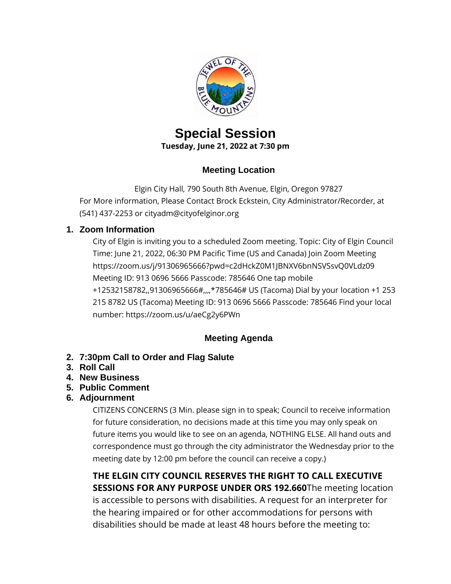

# **Special Session Tuesday, June 21, 2022 at 7:30 pm**

### **Meeting Location**

Elgin City Hall, 790 South 8th Avenue, Elgin, Oregon 97827 For More information, Please Contact Brock Eckstein, City Administrator/Recorder, at (541) 437-2253 or cityadm@cityofelginor.org

### **1. Zoom Information**

City of Elgin is inviting you to a scheduled Zoom meeting. Topic: City of Elgin Council Time: June 21, 2022, 06:30 PM Pacific Time (US and Canada) Join Zoom Meeting https://zoom.us/j/91306965666?pwd=c2dHckZ0M1JBNXV6bnNSVSsvQ0VLdz09 Meeting ID: 913 0696 5666 Passcode: 785646 One tap mobile +12532158782,,91306965666#,,,,\*785646# US (Tacoma) Dial by your location +1 253 215 8782 US (Tacoma) Meeting ID: 913 0696 5666 Passcode: 785646 Find your local number: https://zoom.us/u/aeCg2y6PWn

## **Meeting Agenda**

- **2. 7:30pm Call to Order and Flag Salute**
- **3. Roll Call**
- **4. New Business**
- **5. Public Comment**
- **6. Adjournment**

CITIZENS CONCERNS (3 Min. please sign in to speak; Council to receive information for future consideration, no decisions made at this time you may only speak on future items you would like to see on an agenda, NOTHING ELSE. All hand outs and correspondence must go through the city administrator the Wednesday prior to the meeting date by 12:00 pm before the council can receive a copy.)

**THE ELGIN CITY COUNCIL RESERVES THE RIGHT TO CALL EXECUTIVE SESSIONS FOR ANY PURPOSE UNDER ORS 192.660**The meeting location is accessible to persons with disabilities. A request for an interpreter for the hearing impaired or for other accommodations for persons with disabilities should be made at least 48 hours before the meeting to: